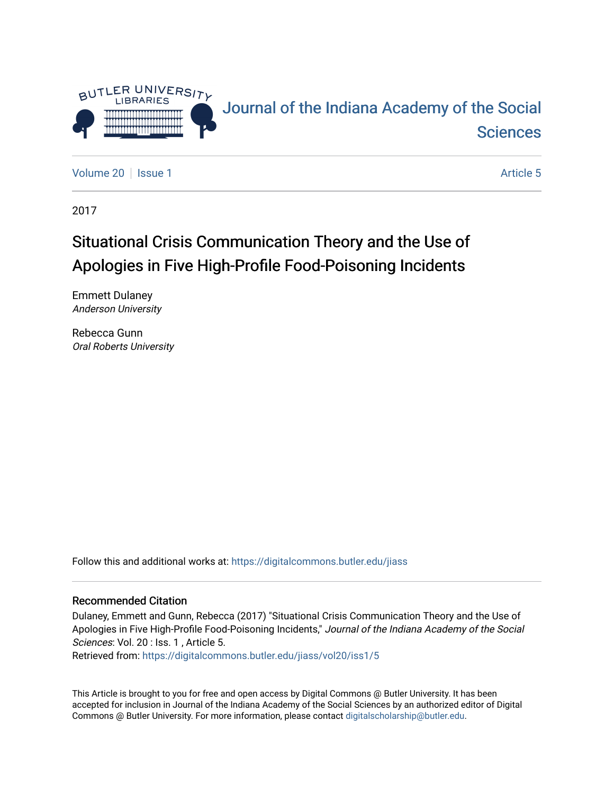

[Volume 20](https://digitalcommons.butler.edu/jiass/vol20) | [Issue 1](https://digitalcommons.butler.edu/jiass/vol20/iss1) Article 5

2017

# Situational Crisis Communication Theory and the Use of Apologies in Five High-Profile Food-Poisoning Incidents

Emmett Dulaney Anderson University

Rebecca Gunn Oral Roberts University

Follow this and additional works at: [https://digitalcommons.butler.edu/jiass](https://digitalcommons.butler.edu/jiass?utm_source=digitalcommons.butler.edu%2Fjiass%2Fvol20%2Fiss1%2F5&utm_medium=PDF&utm_campaign=PDFCoverPages) 

#### Recommended Citation

Dulaney, Emmett and Gunn, Rebecca (2017) "Situational Crisis Communication Theory and the Use of Apologies in Five High-Profile Food-Poisoning Incidents," Journal of the Indiana Academy of the Social Sciences: Vol. 20 : Iss. 1, Article 5.

Retrieved from: [https://digitalcommons.butler.edu/jiass/vol20/iss1/5](https://digitalcommons.butler.edu/jiass/vol20/iss1/5?utm_source=digitalcommons.butler.edu%2Fjiass%2Fvol20%2Fiss1%2F5&utm_medium=PDF&utm_campaign=PDFCoverPages)

This Article is brought to you for free and open access by Digital Commons @ Butler University. It has been accepted for inclusion in Journal of the Indiana Academy of the Social Sciences by an authorized editor of Digital Commons @ Butler University. For more information, please contact [digitalscholarship@butler.edu](mailto:digitalscholarship@butler.edu).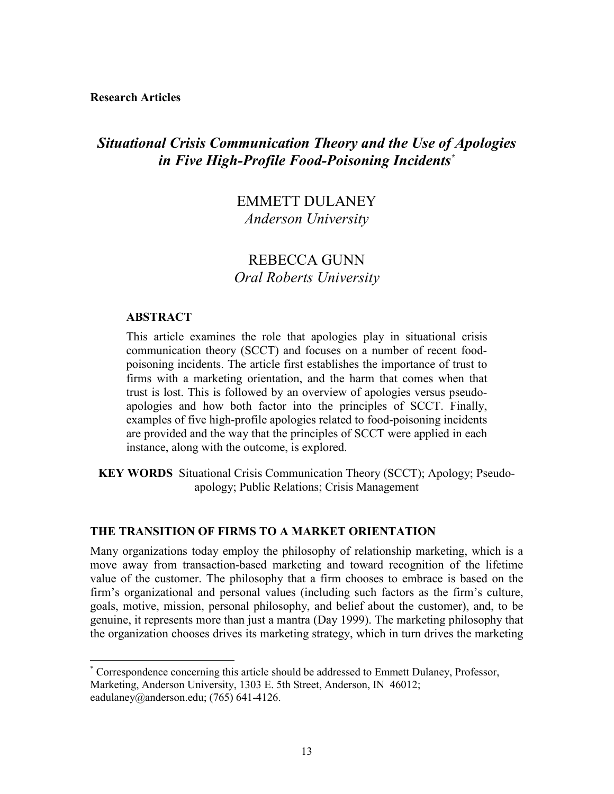**Research Articles**

# *Situational Crisis Communication Theory and the Use of Apologies in Five High-Profile Food-Poisoning Incidents\**

# EMMETT DULANEY *Anderson University*

# REBECCA GUNN *Oral Roberts University*

# **ABSTRACT**

This article examines the role that apologies play in situational crisis communication theory (SCCT) and focuses on a number of recent foodpoisoning incidents. The article first establishes the importance of trust to firms with a marketing orientation, and the harm that comes when that trust is lost. This is followed by an overview of apologies versus pseudoapologies and how both factor into the principles of SCCT. Finally, examples of five high-profile apologies related to food-poisoning incidents are provided and the way that the principles of SCCT were applied in each instance, along with the outcome, is explored.

**KEY WORDS** Situational Crisis Communication Theory (SCCT); Apology; Pseudoapology; Public Relations; Crisis Management

### **THE TRANSITION OF FIRMS TO A MARKET ORIENTATION**

Many organizations today employ the philosophy of relationship marketing, which is a move away from transaction-based marketing and toward recognition of the lifetime value of the customer. The philosophy that a firm chooses to embrace is based on the firm's organizational and personal values (including such factors as the firm's culture, goals, motive, mission, personal philosophy, and belief about the customer), and, to be genuine, it represents more than just a mantra (Day 1999). The marketing philosophy that the organization chooses drives its marketing strategy, which in turn drives the marketing

 <sup>\*</sup> Correspondence concerning this article should be addressed to Emmett Dulaney, Professor, Marketing, Anderson University, 1303 E. 5th Street, Anderson, IN 46012; eadulaney@anderson.edu; (765) 641-4126.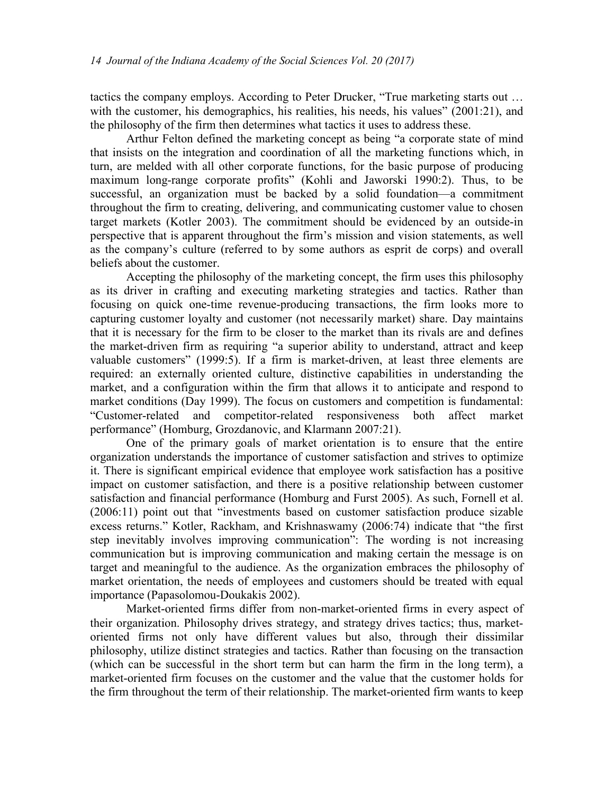tactics the company employs. According to Peter Drucker, "True marketing starts out … with the customer, his demographics, his realities, his needs, his values" (2001:21), and the philosophy of the firm then determines what tactics it uses to address these.

Arthur Felton defined the marketing concept as being "a corporate state of mind that insists on the integration and coordination of all the marketing functions which, in turn, are melded with all other corporate functions, for the basic purpose of producing maximum long-range corporate profits" (Kohli and Jaworski 1990:2). Thus, to be successful, an organization must be backed by a solid foundation—a commitment throughout the firm to creating, delivering, and communicating customer value to chosen target markets (Kotler 2003). The commitment should be evidenced by an outside-in perspective that is apparent throughout the firm's mission and vision statements, as well as the company's culture (referred to by some authors as esprit de corps) and overall beliefs about the customer.

Accepting the philosophy of the marketing concept, the firm uses this philosophy as its driver in crafting and executing marketing strategies and tactics. Rather than focusing on quick one-time revenue-producing transactions, the firm looks more to capturing customer loyalty and customer (not necessarily market) share. Day maintains that it is necessary for the firm to be closer to the market than its rivals are and defines the market-driven firm as requiring "a superior ability to understand, attract and keep valuable customers" (1999:5). If a firm is market-driven, at least three elements are required: an externally oriented culture, distinctive capabilities in understanding the market, and a configuration within the firm that allows it to anticipate and respond to market conditions (Day 1999). The focus on customers and competition is fundamental: "Customer-related and competitor-related responsiveness both affect market performance" (Homburg, Grozdanovic, and Klarmann 2007:21).

One of the primary goals of market orientation is to ensure that the entire organization understands the importance of customer satisfaction and strives to optimize it. There is significant empirical evidence that employee work satisfaction has a positive impact on customer satisfaction, and there is a positive relationship between customer satisfaction and financial performance (Homburg and Furst 2005). As such, Fornell et al. (2006:11) point out that "investments based on customer satisfaction produce sizable excess returns." Kotler, Rackham, and Krishnaswamy (2006:74) indicate that "the first step inevitably involves improving communication": The wording is not increasing communication but is improving communication and making certain the message is on target and meaningful to the audience. As the organization embraces the philosophy of market orientation, the needs of employees and customers should be treated with equal importance (Papasolomou-Doukakis 2002).

Market-oriented firms differ from non-market-oriented firms in every aspect of their organization. Philosophy drives strategy, and strategy drives tactics; thus, marketoriented firms not only have different values but also, through their dissimilar philosophy, utilize distinct strategies and tactics. Rather than focusing on the transaction (which can be successful in the short term but can harm the firm in the long term), a market-oriented firm focuses on the customer and the value that the customer holds for the firm throughout the term of their relationship. The market-oriented firm wants to keep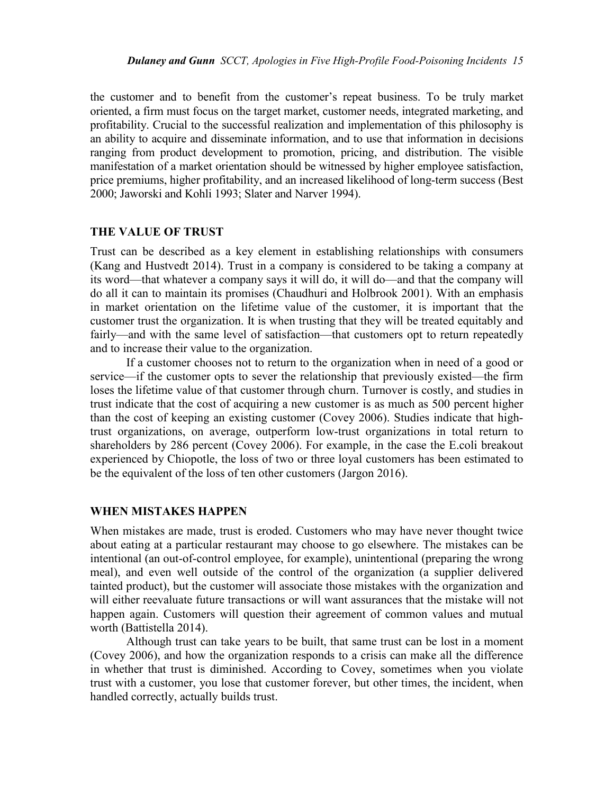the customer and to benefit from the customer's repeat business. To be truly market oriented, a firm must focus on the target market, customer needs, integrated marketing, and profitability. Crucial to the successful realization and implementation of this philosophy is an ability to acquire and disseminate information, and to use that information in decisions ranging from product development to promotion, pricing, and distribution. The visible manifestation of a market orientation should be witnessed by higher employee satisfaction, price premiums, higher profitability, and an increased likelihood of long-term success (Best 2000; Jaworski and Kohli 1993; Slater and Narver 1994).

#### **THE VALUE OF TRUST**

Trust can be described as a key element in establishing relationships with consumers (Kang and Hustvedt 2014). Trust in a company is considered to be taking a company at its word—that whatever a company says it will do, it will do—and that the company will do all it can to maintain its promises (Chaudhuri and Holbrook 2001). With an emphasis in market orientation on the lifetime value of the customer, it is important that the customer trust the organization. It is when trusting that they will be treated equitably and fairly—and with the same level of satisfaction—that customers opt to return repeatedly and to increase their value to the organization.

If a customer chooses not to return to the organization when in need of a good or service—if the customer opts to sever the relationship that previously existed—the firm loses the lifetime value of that customer through churn. Turnover is costly, and studies in trust indicate that the cost of acquiring a new customer is as much as 500 percent higher than the cost of keeping an existing customer (Covey 2006). Studies indicate that hightrust organizations, on average, outperform low-trust organizations in total return to shareholders by 286 percent (Covey 2006). For example, in the case the E.coli breakout experienced by Chiopotle, the loss of two or three loyal customers has been estimated to be the equivalent of the loss of ten other customers (Jargon 2016).

#### **WHEN MISTAKES HAPPEN**

When mistakes are made, trust is eroded. Customers who may have never thought twice about eating at a particular restaurant may choose to go elsewhere. The mistakes can be intentional (an out-of-control employee, for example), unintentional (preparing the wrong meal), and even well outside of the control of the organization (a supplier delivered tainted product), but the customer will associate those mistakes with the organization and will either reevaluate future transactions or will want assurances that the mistake will not happen again. Customers will question their agreement of common values and mutual worth (Battistella 2014).

Although trust can take years to be built, that same trust can be lost in a moment (Covey 2006), and how the organization responds to a crisis can make all the difference in whether that trust is diminished. According to Covey, sometimes when you violate trust with a customer, you lose that customer forever, but other times, the incident, when handled correctly, actually builds trust.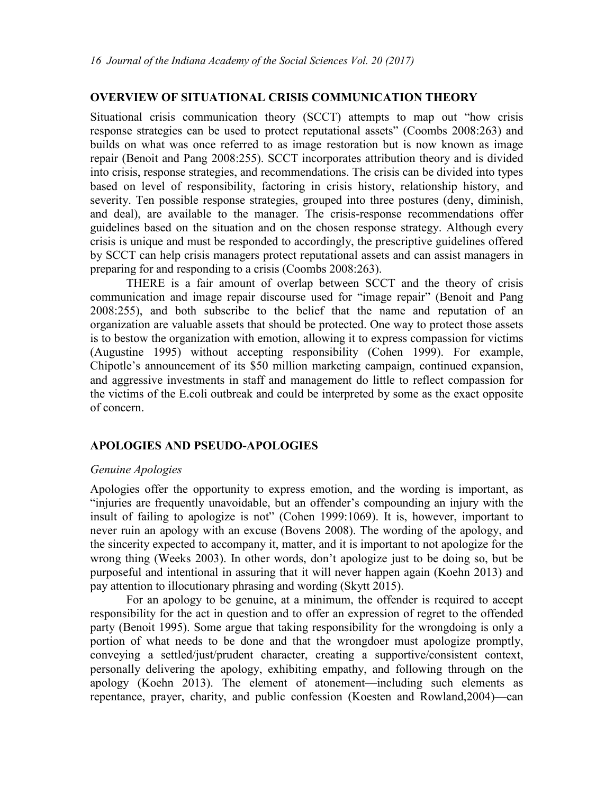# **OVERVIEW OF SITUATIONAL CRISIS COMMUNICATION THEORY**

Situational crisis communication theory (SCCT) attempts to map out "how crisis response strategies can be used to protect reputational assets" (Coombs 2008:263) and builds on what was once referred to as image restoration but is now known as image repair (Benoit and Pang 2008:255). SCCT incorporates attribution theory and is divided into crisis, response strategies, and recommendations. The crisis can be divided into types based on level of responsibility, factoring in crisis history, relationship history, and severity. Ten possible response strategies, grouped into three postures (deny, diminish, and deal), are available to the manager. The crisis-response recommendations offer guidelines based on the situation and on the chosen response strategy. Although every crisis is unique and must be responded to accordingly, the prescriptive guidelines offered by SCCT can help crisis managers protect reputational assets and can assist managers in preparing for and responding to a crisis (Coombs 2008:263).

THERE is a fair amount of overlap between SCCT and the theory of crisis communication and image repair discourse used for "image repair" (Benoit and Pang 2008:255), and both subscribe to the belief that the name and reputation of an organization are valuable assets that should be protected. One way to protect those assets is to bestow the organization with emotion, allowing it to express compassion for victims (Augustine 1995) without accepting responsibility (Cohen 1999). For example, Chipotle's announcement of its \$50 million marketing campaign, continued expansion, and aggressive investments in staff and management do little to reflect compassion for the victims of the E.coli outbreak and could be interpreted by some as the exact opposite of concern.

#### **APOLOGIES AND PSEUDO-APOLOGIES**

#### *Genuine Apologies*

Apologies offer the opportunity to express emotion, and the wording is important, as "injuries are frequently unavoidable, but an offender's compounding an injury with the insult of failing to apologize is not" (Cohen 1999:1069). It is, however, important to never ruin an apology with an excuse (Bovens 2008). The wording of the apology, and the sincerity expected to accompany it, matter, and it is important to not apologize for the wrong thing (Weeks 2003). In other words, don't apologize just to be doing so, but be purposeful and intentional in assuring that it will never happen again (Koehn 2013) and pay attention to illocutionary phrasing and wording (Skytt 2015).

For an apology to be genuine, at a minimum, the offender is required to accept responsibility for the act in question and to offer an expression of regret to the offended party (Benoit 1995). Some argue that taking responsibility for the wrongdoing is only a portion of what needs to be done and that the wrongdoer must apologize promptly, conveying a settled/just/prudent character, creating a supportive/consistent context, personally delivering the apology, exhibiting empathy, and following through on the apology (Koehn 2013). The element of atonement—including such elements as repentance, prayer, charity, and public confession (Koesten and Rowland,2004)—can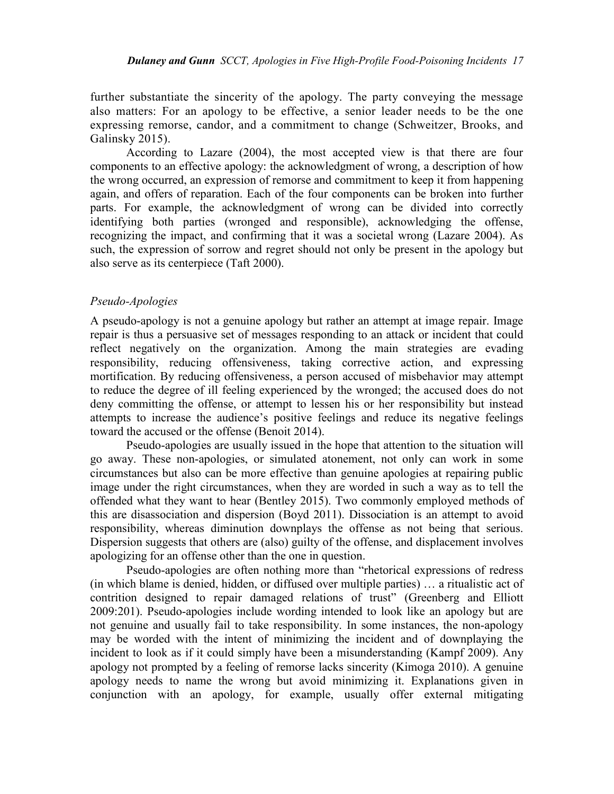further substantiate the sincerity of the apology. The party conveying the message also matters: For an apology to be effective, a senior leader needs to be the one expressing remorse, candor, and a commitment to change (Schweitzer, Brooks, and Galinsky 2015).

According to Lazare (2004), the most accepted view is that there are four components to an effective apology: the acknowledgment of wrong, a description of how the wrong occurred, an expression of remorse and commitment to keep it from happening again, and offers of reparation. Each of the four components can be broken into further parts. For example, the acknowledgment of wrong can be divided into correctly identifying both parties (wronged and responsible), acknowledging the offense, recognizing the impact, and confirming that it was a societal wrong (Lazare 2004). As such, the expression of sorrow and regret should not only be present in the apology but also serve as its centerpiece (Taft 2000).

#### *Pseudo-Apologies*

A pseudo-apology is not a genuine apology but rather an attempt at image repair. Image repair is thus a persuasive set of messages responding to an attack or incident that could reflect negatively on the organization. Among the main strategies are evading responsibility, reducing offensiveness, taking corrective action, and expressing mortification. By reducing offensiveness, a person accused of misbehavior may attempt to reduce the degree of ill feeling experienced by the wronged; the accused does do not deny committing the offense, or attempt to lessen his or her responsibility but instead attempts to increase the audience's positive feelings and reduce its negative feelings toward the accused or the offense (Benoit 2014).

Pseudo-apologies are usually issued in the hope that attention to the situation will go away. These non-apologies, or simulated atonement, not only can work in some circumstances but also can be more effective than genuine apologies at repairing public image under the right circumstances, when they are worded in such a way as to tell the offended what they want to hear (Bentley 2015). Two commonly employed methods of this are disassociation and dispersion (Boyd 2011). Dissociation is an attempt to avoid responsibility, whereas diminution downplays the offense as not being that serious. Dispersion suggests that others are (also) guilty of the offense, and displacement involves apologizing for an offense other than the one in question.

Pseudo-apologies are often nothing more than "rhetorical expressions of redress (in which blame is denied, hidden, or diffused over multiple parties) … a ritualistic act of contrition designed to repair damaged relations of trust" (Greenberg and Elliott 2009:201). Pseudo-apologies include wording intended to look like an apology but are not genuine and usually fail to take responsibility. In some instances, the non-apology may be worded with the intent of minimizing the incident and of downplaying the incident to look as if it could simply have been a misunderstanding (Kampf 2009). Any apology not prompted by a feeling of remorse lacks sincerity (Kimoga 2010). A genuine apology needs to name the wrong but avoid minimizing it. Explanations given in conjunction with an apology, for example, usually offer external mitigating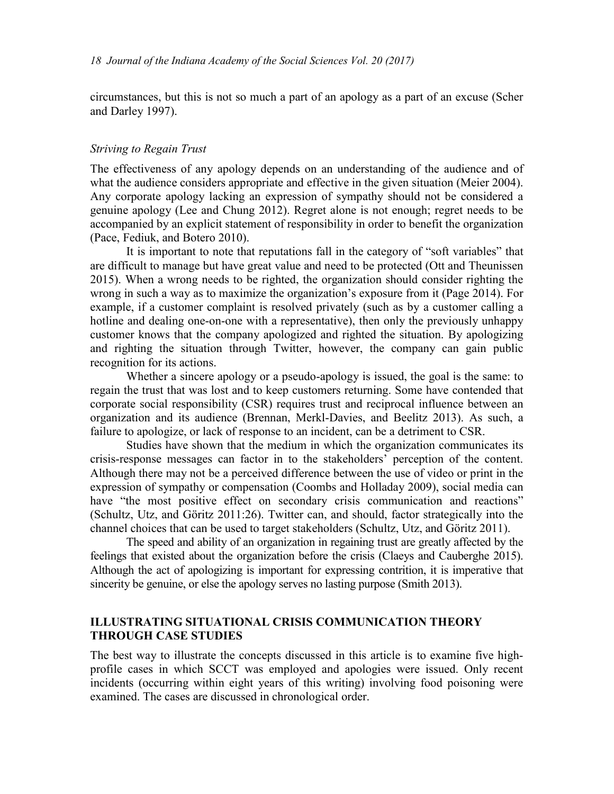circumstances, but this is not so much a part of an apology as a part of an excuse (Scher and Darley 1997).

#### *Striving to Regain Trust*

The effectiveness of any apology depends on an understanding of the audience and of what the audience considers appropriate and effective in the given situation (Meier 2004). Any corporate apology lacking an expression of sympathy should not be considered a genuine apology (Lee and Chung 2012). Regret alone is not enough; regret needs to be accompanied by an explicit statement of responsibility in order to benefit the organization (Pace, Fediuk, and Botero 2010).

It is important to note that reputations fall in the category of "soft variables" that are difficult to manage but have great value and need to be protected (Ott and Theunissen 2015). When a wrong needs to be righted, the organization should consider righting the wrong in such a way as to maximize the organization's exposure from it (Page 2014). For example, if a customer complaint is resolved privately (such as by a customer calling a hotline and dealing one-on-one with a representative), then only the previously unhappy customer knows that the company apologized and righted the situation. By apologizing and righting the situation through Twitter, however, the company can gain public recognition for its actions.

Whether a sincere apology or a pseudo-apology is issued, the goal is the same: to regain the trust that was lost and to keep customers returning. Some have contended that corporate social responsibility (CSR) requires trust and reciprocal influence between an organization and its audience (Brennan, Merkl-Davies, and Beelitz 2013). As such, a failure to apologize, or lack of response to an incident, can be a detriment to CSR.

Studies have shown that the medium in which the organization communicates its crisis-response messages can factor in to the stakeholders' perception of the content. Although there may not be a perceived difference between the use of video or print in the expression of sympathy or compensation (Coombs and Holladay 2009), social media can have "the most positive effect on secondary crisis communication and reactions" (Schultz, Utz, and Göritz 2011:26). Twitter can, and should, factor strategically into the channel choices that can be used to target stakeholders (Schultz, Utz, and Göritz 2011).

The speed and ability of an organization in regaining trust are greatly affected by the feelings that existed about the organization before the crisis (Claeys and Cauberghe 2015). Although the act of apologizing is important for expressing contrition, it is imperative that sincerity be genuine, or else the apology serves no lasting purpose (Smith 2013).

# **ILLUSTRATING SITUATIONAL CRISIS COMMUNICATION THEORY THROUGH CASE STUDIES**

The best way to illustrate the concepts discussed in this article is to examine five highprofile cases in which SCCT was employed and apologies were issued. Only recent incidents (occurring within eight years of this writing) involving food poisoning were examined. The cases are discussed in chronological order.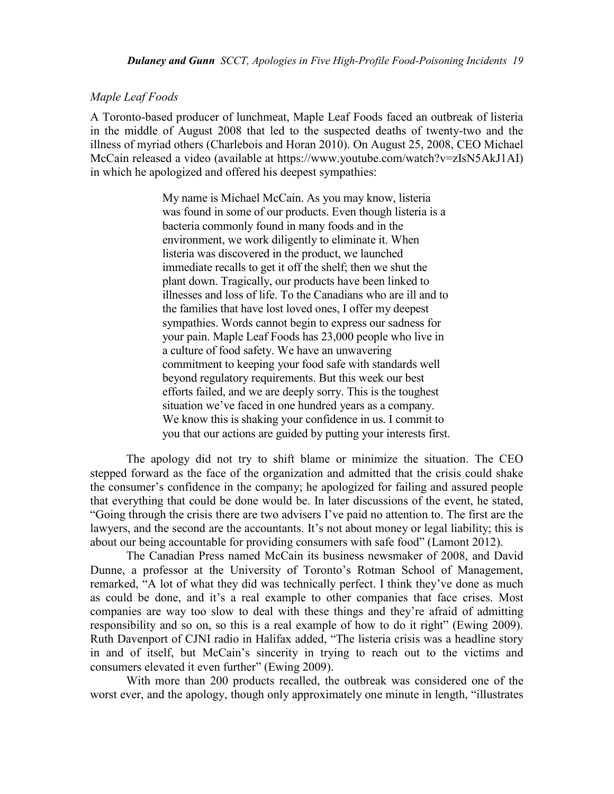#### *Maple Leaf Foods*

A Toronto-based producer of lunchmeat, Maple Leaf Foods faced an outbreak of listeria in the middle of August 2008 that led to the suspected deaths of twenty-two and the illness of myriad others (Charlebois and Horan 2010). On August 25, 2008, CEO Michael McCain released a video (available at https://www.youtube.com/watch?v=zIsN5AkJ1AI) in which he apologized and offered his deepest sympathies:

> My name is Michael McCain. As you may know, listeria was found in some of our products. Even though listeria is a bacteria commonly found in many foods and in the environment, we work diligently to eliminate it. When listeria was discovered in the product, we launched immediate recalls to get it off the shelf; then we shut the plant down. Tragically, our products have been linked to illnesses and loss of life. To the Canadians who are ill and to the families that have lost loved ones, I offer my deepest sympathies. Words cannot begin to express our sadness for your pain. Maple Leaf Foods has 23,000 people who live in a culture of food safety. We have an unwavering commitment to keeping your food safe with standards well beyond regulatory requirements. But this week our best efforts failed, and we are deeply sorry. This is the toughest situation we've faced in one hundred years as a company. We know this is shaking your confidence in us. I commit to you that our actions are guided by putting your interests first.

The apology did not try to shift blame or minimize the situation. The CEO stepped forward as the face of the organization and admitted that the crisis could shake the consumer's confidence in the company; he apologized for failing and assured people that everything that could be done would be. In later discussions of the event, he stated, "Going through the crisis there are two advisers I've paid no attention to. The first are the lawyers, and the second are the accountants. It's not about money or legal liability; this is about our being accountable for providing consumers with safe food" (Lamont 2012).

The Canadian Press named McCain its business newsmaker of 2008, and David Dunne, a professor at the University of Toronto's Rotman School of Management, remarked, "A lot of what they did was technically perfect. I think they've done as much as could be done, and it's a real example to other companies that face crises. Most companies are way too slow to deal with these things and they're afraid of admitting responsibility and so on, so this is a real example of how to do it right" (Ewing 2009). Ruth Davenport of CJNI radio in Halifax added, "The listeria crisis was a headline story in and of itself, but McCain's sincerity in trying to reach out to the victims and consumers elevated it even further" (Ewing 2009).

With more than 200 products recalled, the outbreak was considered one of the worst ever, and the apology, though only approximately one minute in length, "illustrates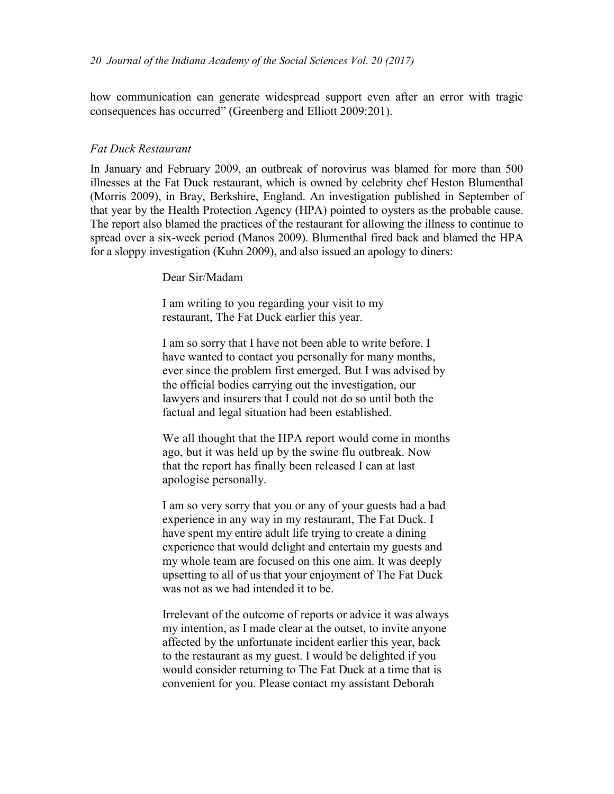how communication can generate widespread support even after an error with tragic consequences has occurred" (Greenberg and Elliott 2009:201).

#### *Fat Duck Restaurant*

In January and February 2009, an outbreak of norovirus was blamed for more than 500 illnesses at the Fat Duck restaurant, which is owned by celebrity chef Heston Blumenthal (Morris 2009), in Bray, Berkshire, England. An investigation published in September of that year by the Health Protection Agency (HPA) pointed to oysters as the probable cause. The report also blamed the practices of the restaurant for allowing the illness to continue to spread over a six-week period (Manos 2009). Blumenthal fired back and blamed the HPA for a sloppy investigation (Kuhn 2009), and also issued an apology to diners:

Dear Sir/Madam

I am writing to you regarding your visit to my restaurant, The Fat Duck earlier this year.

I am so sorry that I have not been able to write before. I have wanted to contact you personally for many months, ever since the problem first emerged. But I was advised by the official bodies carrying out the investigation, our lawyers and insurers that I could not do so until both the factual and legal situation had been established.

We all thought that the HPA report would come in months ago, but it was held up by the swine flu outbreak. Now that the report has finally been released I can at last apologise personally.

I am so very sorry that you or any of your guests had a bad experience in any way in my restaurant, The Fat Duck. I have spent my entire adult life trying to create a dining experience that would delight and entertain my guests and my whole team are focused on this one aim. It was deeply upsetting to all of us that your enjoyment of The Fat Duck was not as we had intended it to be.

Irrelevant of the outcome of reports or advice it was always my intention, as I made clear at the outset, to invite anyone affected by the unfortunate incident earlier this year, back to the restaurant as my guest. I would be delighted if you would consider returning to The Fat Duck at a time that is convenient for you. Please contact my assistant Deborah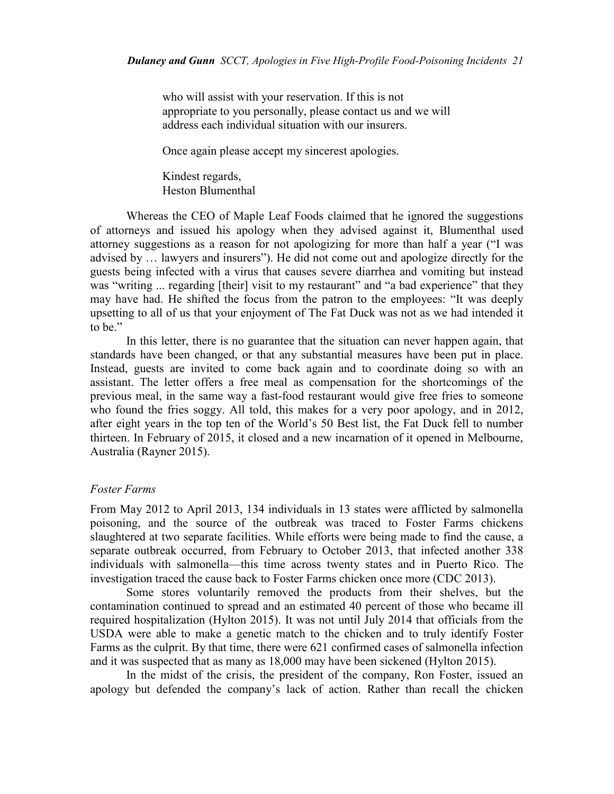who will assist with your reservation. If this is not appropriate to you personally, please contact us and we will address each individual situation with our insurers.

Once again please accept my sincerest apologies.

Kindest regards, Heston Blumenthal

Whereas the CEO of Maple Leaf Foods claimed that he ignored the suggestions of attorneys and issued his apology when they advised against it, Blumenthal used attorney suggestions as a reason for not apologizing for more than half a year ("I was advised by … lawyers and insurers"). He did not come out and apologize directly for the guests being infected with a virus that causes severe diarrhea and vomiting but instead was "writing ... regarding [their] visit to my restaurant" and "a bad experience" that they may have had. He shifted the focus from the patron to the employees: "It was deeply upsetting to all of us that your enjoyment of The Fat Duck was not as we had intended it to be."

In this letter, there is no guarantee that the situation can never happen again, that standards have been changed, or that any substantial measures have been put in place. Instead, guests are invited to come back again and to coordinate doing so with an assistant. The letter offers a free meal as compensation for the shortcomings of the previous meal, in the same way a fast-food restaurant would give free fries to someone who found the fries soggy. All told, this makes for a very poor apology, and in 2012, after eight years in the top ten of the World's 50 Best list, the Fat Duck fell to number thirteen. In February of 2015, it closed and a new incarnation of it opened in Melbourne, Australia (Rayner 2015).

#### *Foster Farms*

From May 2012 to April 2013, 134 individuals in 13 states were afflicted by salmonella poisoning, and the source of the outbreak was traced to Foster Farms chickens slaughtered at two separate facilities. While efforts were being made to find the cause, a separate outbreak occurred, from February to October 2013, that infected another 338 individuals with salmonella—this time across twenty states and in Puerto Rico. The investigation traced the cause back to Foster Farms chicken once more (CDC 2013).

Some stores voluntarily removed the products from their shelves, but the contamination continued to spread and an estimated 40 percent of those who became ill required hospitalization (Hylton 2015). It was not until July 2014 that officials from the USDA were able to make a genetic match to the chicken and to truly identify Foster Farms as the culprit. By that time, there were 621 confirmed cases of salmonella infection and it was suspected that as many as 18,000 may have been sickened (Hylton 2015).

In the midst of the crisis, the president of the company, Ron Foster, issued an apology but defended the company's lack of action. Rather than recall the chicken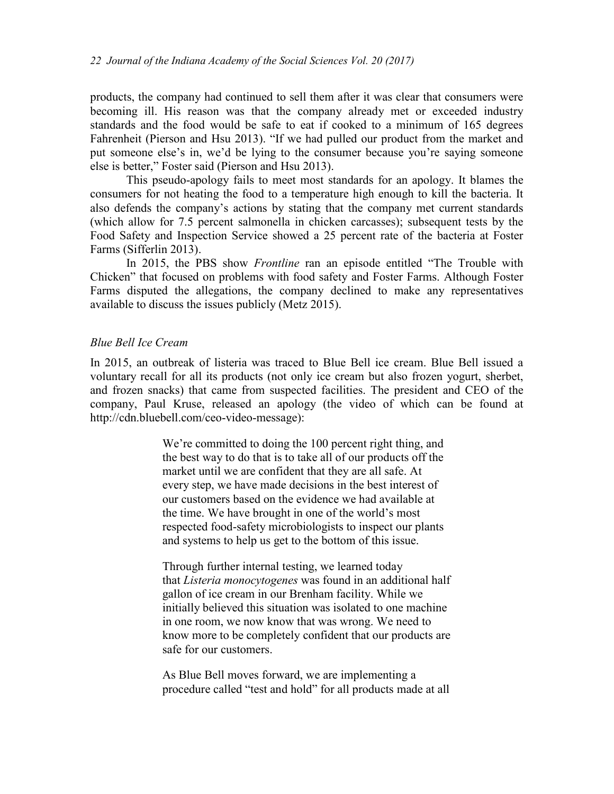products, the company had continued to sell them after it was clear that consumers were becoming ill. His reason was that the company already met or exceeded industry standards and the food would be safe to eat if cooked to a minimum of 165 degrees Fahrenheit (Pierson and Hsu 2013). "If we had pulled our product from the market and put someone else's in, we'd be lying to the consumer because you're saying someone else is better," Foster said (Pierson and Hsu 2013).

This pseudo-apology fails to meet most standards for an apology. It blames the consumers for not heating the food to a temperature high enough to kill the bacteria. It also defends the company's actions by stating that the company met current standards (which allow for 7.5 percent salmonella in chicken carcasses); subsequent tests by the Food Safety and Inspection Service showed a 25 percent rate of the bacteria at Foster Farms (Sifferlin 2013).

In 2015, the PBS show *Frontline* ran an episode entitled "The Trouble with Chicken" that focused on problems with food safety and Foster Farms. Although Foster Farms disputed the allegations, the company declined to make any representatives available to discuss the issues publicly (Metz 2015).

### *Blue Bell Ice Cream*

In 2015, an outbreak of listeria was traced to Blue Bell ice cream. Blue Bell issued a voluntary recall for all its products (not only ice cream but also frozen yogurt, sherbet, and frozen snacks) that came from suspected facilities. The president and CEO of the company, Paul Kruse, released an apology (the video of which can be found at http://cdn.bluebell.com/ceo-video-message):

> We're committed to doing the 100 percent right thing, and the best way to do that is to take all of our products off the market until we are confident that they are all safe. At every step, we have made decisions in the best interest of our customers based on the evidence we had available at the time. We have brought in one of the world's most respected food-safety microbiologists to inspect our plants and systems to help us get to the bottom of this issue.

Through further internal testing, we learned today that *Listeria monocytogenes* was found in an additional half gallon of ice cream in our Brenham facility. While we initially believed this situation was isolated to one machine in one room, we now know that was wrong. We need to know more to be completely confident that our products are safe for our customers.

As Blue Bell moves forward, we are implementing a procedure called "test and hold" for all products made at all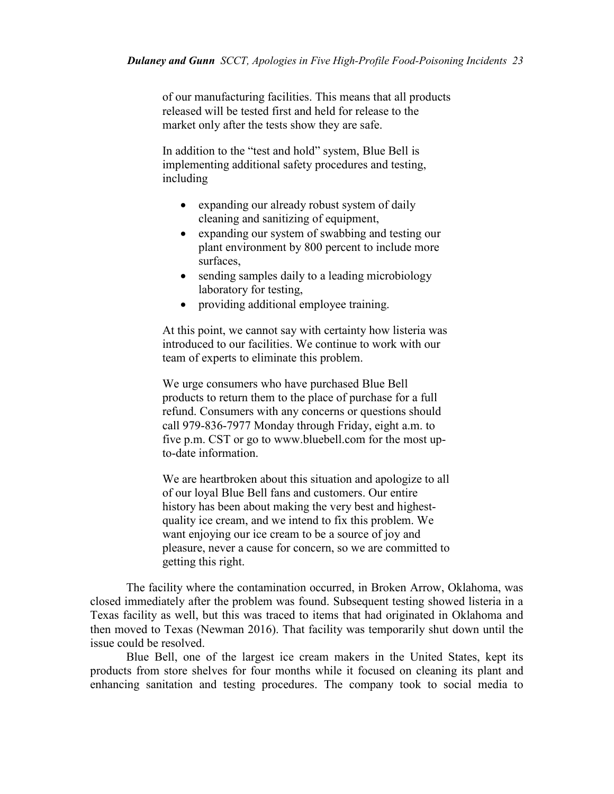of our manufacturing facilities. This means that all products released will be tested first and held for release to the market only after the tests show they are safe.

In addition to the "test and hold" system, Blue Bell is implementing additional safety procedures and testing, including

- expanding our already robust system of daily cleaning and sanitizing of equipment,
- expanding our system of swabbing and testing our plant environment by 800 percent to include more surfaces,
- sending samples daily to a leading microbiology laboratory for testing,
- providing additional employee training.

At this point, we cannot say with certainty how listeria was introduced to our facilities. We continue to work with our team of experts to eliminate this problem.

We urge consumers who have purchased Blue Bell products to return them to the place of purchase for a full refund. Consumers with any concerns or questions should call 979-836-7977 Monday through Friday, eight a.m. to five p.m. CST or go to www.bluebell.com for the most upto-date information.

We are heartbroken about this situation and apologize to all of our loyal Blue Bell fans and customers. Our entire history has been about making the very best and highestquality ice cream, and we intend to fix this problem. We want enjoying our ice cream to be a source of joy and pleasure, never a cause for concern, so we are committed to getting this right.

The facility where the contamination occurred, in Broken Arrow, Oklahoma, was closed immediately after the problem was found. Subsequent testing showed listeria in a Texas facility as well, but this was traced to items that had originated in Oklahoma and then moved to Texas (Newman 2016). That facility was temporarily shut down until the issue could be resolved.

Blue Bell, one of the largest ice cream makers in the United States, kept its products from store shelves for four months while it focused on cleaning its plant and enhancing sanitation and testing procedures. The company took to social media to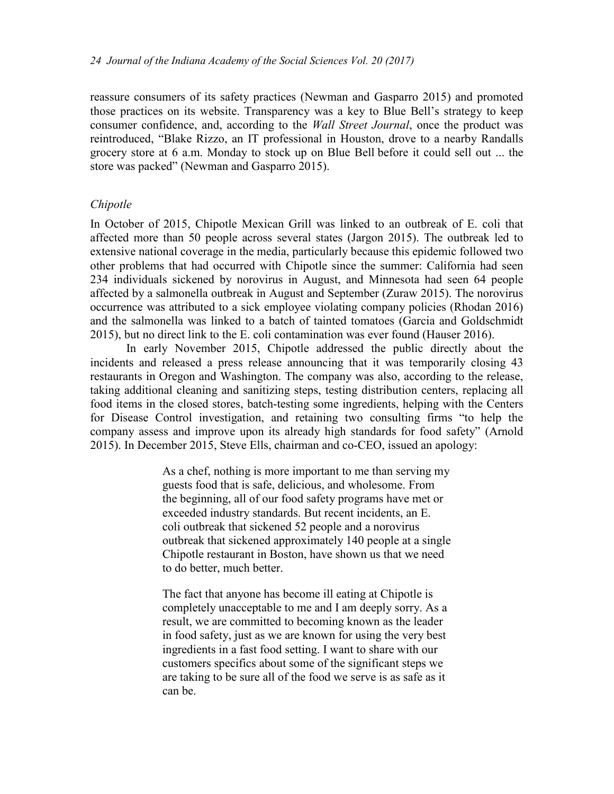reassure consumers of its safety practices (Newman and Gasparro 2015) and promoted those practices on its website. Transparency was a key to Blue Bell's strategy to keep consumer confidence, and, according to the *Wall Street Journal*, once the product was reintroduced, "Blake Rizzo, an IT professional in Houston, drove to a nearby Randalls grocery store at 6 a.m. Monday to stock up on Blue Bell before it could sell out ... the store was packed" (Newman and Gasparro 2015).

# *Chipotle*

In October of 2015, Chipotle Mexican Grill was linked to an outbreak of E. coli that affected more than 50 people across several states (Jargon 2015). The outbreak led to extensive national coverage in the media, particularly because this epidemic followed two other problems that had occurred with Chipotle since the summer: California had seen 234 individuals sickened by norovirus in August, and Minnesota had seen 64 people affected by a salmonella outbreak in August and September (Zuraw 2015). The norovirus occurrence was attributed to a sick employee violating company policies (Rhodan 2016) and the salmonella was linked to a batch of tainted tomatoes (Garcia and Goldschmidt 2015), but no direct link to the E. coli contamination was ever found (Hauser 2016).

In early November 2015, Chipotle addressed the public directly about the incidents and released a press release announcing that it was temporarily closing 43 restaurants in Oregon and Washington. The company was also, according to the release, taking additional cleaning and sanitizing steps, testing distribution centers, replacing all food items in the closed stores, batch-testing some ingredients, helping with the Centers for Disease Control investigation, and retaining two consulting firms "to help the company assess and improve upon its already high standards for food safety" (Arnold 2015). In December 2015, Steve Ells, chairman and co-CEO, issued an apology:

> As a chef, nothing is more important to me than serving my guests food that is safe, delicious, and wholesome. From the beginning, all of our food safety programs have met or exceeded industry standards. But recent incidents, an E. coli outbreak that sickened 52 people and a norovirus outbreak that sickened approximately 140 people at a single Chipotle restaurant in Boston, have shown us that we need to do better, much better.

The fact that anyone has become ill eating at Chipotle is completely unacceptable to me and I am deeply sorry. As a result, we are committed to becoming known as the leader in food safety, just as we are known for using the very best ingredients in a fast food setting. I want to share with our customers specifics about some of the significant steps we are taking to be sure all of the food we serve is as safe as it can be.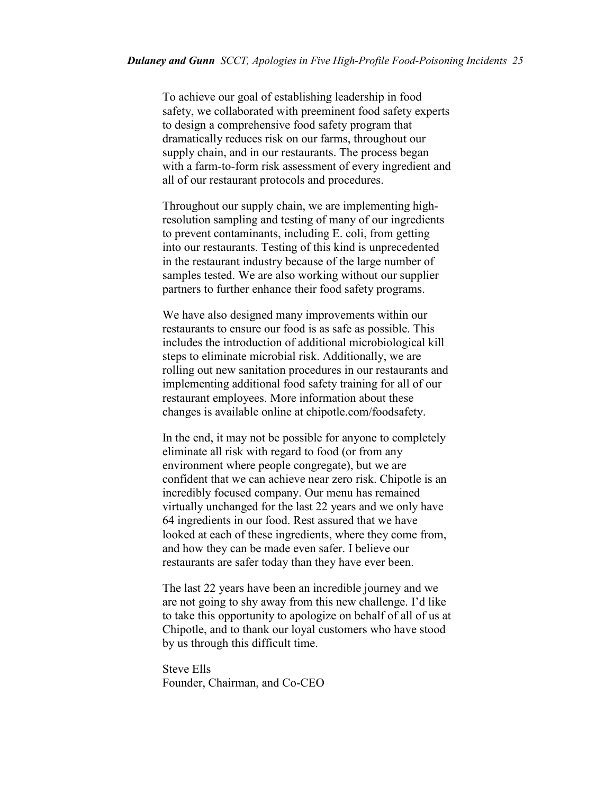To achieve our goal of establishing leadership in food safety, we collaborated with preeminent food safety experts to design a comprehensive food safety program that dramatically reduces risk on our farms, throughout our supply chain, and in our restaurants. The process began with a farm-to-form risk assessment of every ingredient and all of our restaurant protocols and procedures.

Throughout our supply chain, we are implementing highresolution sampling and testing of many of our ingredients to prevent contaminants, including E. coli, from getting into our restaurants. Testing of this kind is unprecedented in the restaurant industry because of the large number of samples tested. We are also working without our supplier partners to further enhance their food safety programs.

We have also designed many improvements within our restaurants to ensure our food is as safe as possible. This includes the introduction of additional microbiological kill steps to eliminate microbial risk. Additionally, we are rolling out new sanitation procedures in our restaurants and implementing additional food safety training for all of our restaurant employees. More information about these changes is available online at chipotle.com/foodsafety.

In the end, it may not be possible for anyone to completely eliminate all risk with regard to food (or from any environment where people congregate), but we are confident that we can achieve near zero risk. Chipotle is an incredibly focused company. Our menu has remained virtually unchanged for the last 22 years and we only have 64 ingredients in our food. Rest assured that we have looked at each of these ingredients, where they come from, and how they can be made even safer. I believe our restaurants are safer today than they have ever been.

The last 22 years have been an incredible journey and we are not going to shy away from this new challenge. I'd like to take this opportunity to apologize on behalf of all of us at Chipotle, and to thank our loyal customers who have stood by us through this difficult time.

Steve Ells Founder, Chairman, and Co-CEO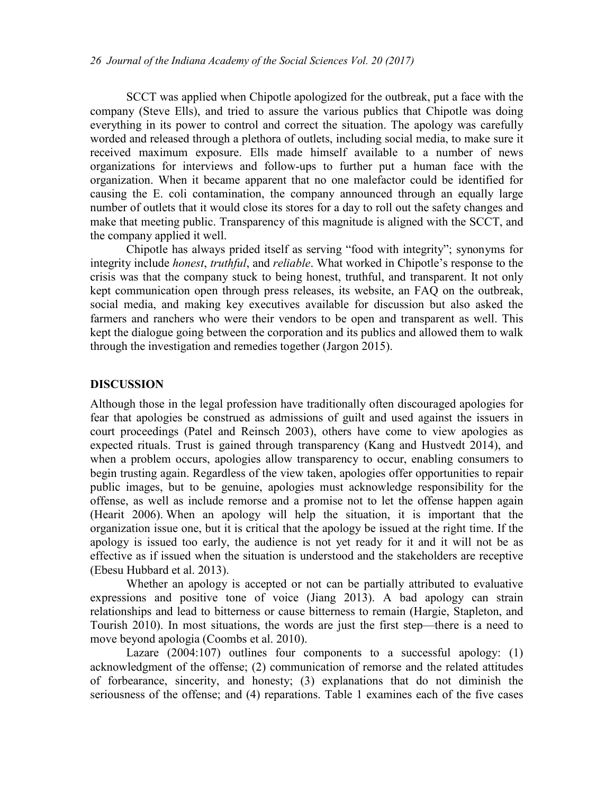SCCT was applied when Chipotle apologized for the outbreak, put a face with the company (Steve Ells), and tried to assure the various publics that Chipotle was doing everything in its power to control and correct the situation. The apology was carefully worded and released through a plethora of outlets, including social media, to make sure it received maximum exposure. Ells made himself available to a number of news organizations for interviews and follow-ups to further put a human face with the organization. When it became apparent that no one malefactor could be identified for causing the E. coli contamination, the company announced through an equally large number of outlets that it would close its stores for a day to roll out the safety changes and make that meeting public. Transparency of this magnitude is aligned with the SCCT, and the company applied it well.

Chipotle has always prided itself as serving "food with integrity"; synonyms for integrity include *honest*, *truthful*, and *reliable*. What worked in Chipotle's response to the crisis was that the company stuck to being honest, truthful, and transparent. It not only kept communication open through press releases, its website, an FAQ on the outbreak, social media, and making key executives available for discussion but also asked the farmers and ranchers who were their vendors to be open and transparent as well. This kept the dialogue going between the corporation and its publics and allowed them to walk through the investigation and remedies together (Jargon 2015).

#### **DISCUSSION**

Although those in the legal profession have traditionally often discouraged apologies for fear that apologies be construed as admissions of guilt and used against the issuers in court proceedings (Patel and Reinsch 2003), others have come to view apologies as expected rituals. Trust is gained through transparency (Kang and Hustvedt 2014), and when a problem occurs, apologies allow transparency to occur, enabling consumers to begin trusting again. Regardless of the view taken, apologies offer opportunities to repair public images, but to be genuine, apologies must acknowledge responsibility for the offense, as well as include remorse and a promise not to let the offense happen again (Hearit 2006). When an apology will help the situation, it is important that the organization issue one, but it is critical that the apology be issued at the right time. If the apology is issued too early, the audience is not yet ready for it and it will not be as effective as if issued when the situation is understood and the stakeholders are receptive (Ebesu Hubbard et al. 2013).

Whether an apology is accepted or not can be partially attributed to evaluative expressions and positive tone of voice (Jiang 2013). A bad apology can strain relationships and lead to bitterness or cause bitterness to remain (Hargie, Stapleton, and Tourish 2010). In most situations, the words are just the first step—there is a need to move beyond apologia (Coombs et al. 2010).

Lazare (2004:107) outlines four components to a successful apology: (1) acknowledgment of the offense; (2) communication of remorse and the related attitudes of forbearance, sincerity, and honesty; (3) explanations that do not diminish the seriousness of the offense; and (4) reparations. Table 1 examines each of the five cases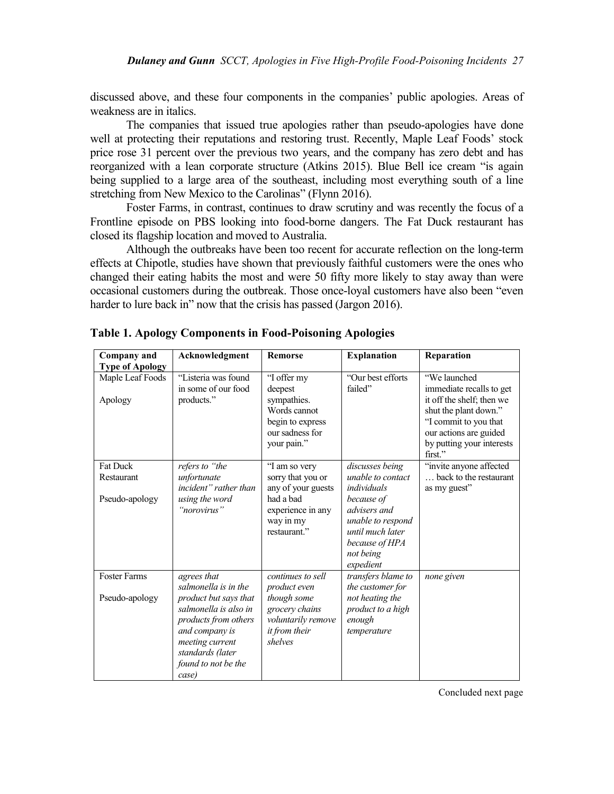discussed above, and these four components in the companies' public apologies. Areas of weakness are in italics.

The companies that issued true apologies rather than pseudo-apologies have done well at protecting their reputations and restoring trust. Recently, Maple Leaf Foods' stock price rose 31 percent over the previous two years, and the company has zero debt and has reorganized with a lean corporate structure (Atkins 2015). Blue Bell ice cream "is again being supplied to a large area of the southeast, including most everything south of a line stretching from New Mexico to the Carolinas" (Flynn 2016).

Foster Farms, in contrast, continues to draw scrutiny and was recently the focus of a Frontline episode on PBS looking into food-borne dangers. The Fat Duck restaurant has closed its flagship location and moved to Australia.

Although the outbreaks have been too recent for accurate reflection on the long-term effects at Chipotle, studies have shown that previously faithful customers were the ones who changed their eating habits the most and were 50 fifty more likely to stay away than were occasional customers during the outbreak. Those once-loyal customers have also been "even harder to lure back in" now that the crisis has passed (Jargon 2016).

| Company and            | Acknowledgment        | <b>Remorse</b>     | <b>Explanation</b> | Reparation                |
|------------------------|-----------------------|--------------------|--------------------|---------------------------|
| <b>Type of Apology</b> |                       |                    |                    |                           |
| Maple Leaf Foods       | "Listeria was found   | "I offer my        | "Our best efforts  | "We launched              |
|                        | in some of our food   | deepest            | failed"            | immediate recalls to get  |
| Apology                | products."            | sympathies.        |                    | it off the shelf; then we |
|                        |                       | Words cannot       |                    | shut the plant down."     |
|                        |                       | begin to express   |                    | "I commit to you that     |
|                        |                       | our sadness for    |                    | our actions are guided    |
|                        |                       | your pain."        |                    | by putting your interests |
|                        |                       |                    |                    | first."                   |
| <b>Fat Duck</b>        | refers to "the        | "I am so very      | discusses being    | "invite anyone affected"  |
| Restaurant             | unfortunate           | sorry that you or  | unable to contact  | back to the restaurant    |
|                        | incident" rather than | any of your guests | individuals        | as my guest"              |
| Pseudo-apology         | using the word        | had a bad          | because of         |                           |
|                        | "norovirus"           | experience in any  | advisers and       |                           |
|                        |                       | way in my          | unable to respond  |                           |
|                        |                       | restaurant."       | until much later   |                           |
|                        |                       |                    | because of HPA     |                           |
|                        |                       |                    | not being          |                           |
|                        |                       |                    | expedient          |                           |
| <b>Foster Farms</b>    | agrees that           | continues to sell  | transfers blame to | none given                |
|                        | salmonella is in the  | product even       | the customer for   |                           |
| Pseudo-apology         | product but says that | though some        | not heating the    |                           |
|                        | salmonella is also in | grocery chains     | product to a high  |                           |
|                        | products from others  | voluntarily remove | enough             |                           |
|                        | and company is        | it from their      | temperature        |                           |
|                        | meeting current       | shelves            |                    |                           |
|                        | standards (later      |                    |                    |                           |
|                        | found to not be the   |                    |                    |                           |
|                        | case)                 |                    |                    |                           |

**Table 1. Apology Components in Food-Poisoning Apologies**

Concluded next page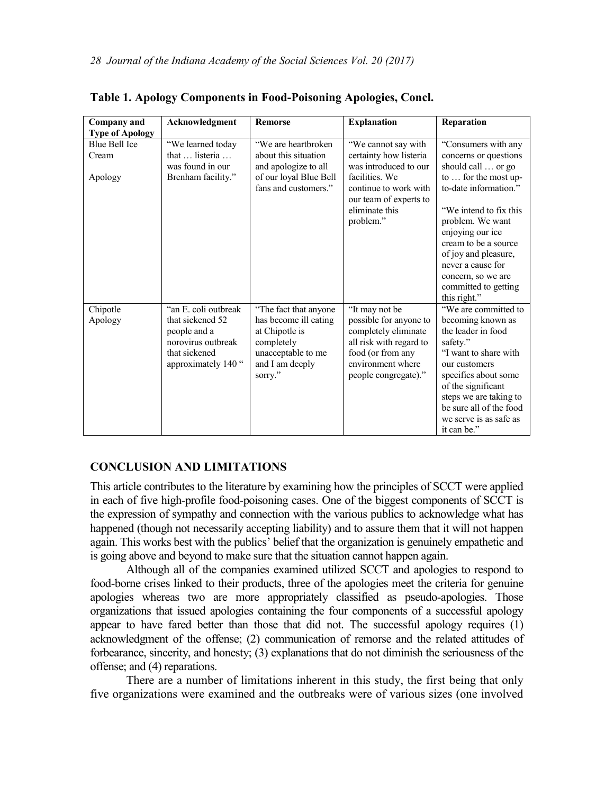| <b>Company</b> and                | Acknowledgment                                                                                                          | <b>Remorse</b>                                                                                                                      | <b>Explanation</b>                                                                                                                                                         | Reparation                                                                                                                                                                                                                                                                                                               |
|-----------------------------------|-------------------------------------------------------------------------------------------------------------------------|-------------------------------------------------------------------------------------------------------------------------------------|----------------------------------------------------------------------------------------------------------------------------------------------------------------------------|--------------------------------------------------------------------------------------------------------------------------------------------------------------------------------------------------------------------------------------------------------------------------------------------------------------------------|
| <b>Type of Apology</b>            |                                                                                                                         |                                                                                                                                     |                                                                                                                                                                            |                                                                                                                                                                                                                                                                                                                          |
| Blue Bell Ice<br>Cream<br>Apology | "We learned today"<br>that  listeria<br>was found in our<br>Brenham facility."                                          | "We are heartbroken<br>about this situation<br>and apologize to all<br>of our loyal Blue Bell<br>fans and customers."               | "We cannot say with<br>certainty how listeria<br>was introduced to our<br>facilities. We<br>continue to work with<br>our team of experts to<br>eliminate this<br>problem." | "Consumers with any<br>concerns or questions<br>should call  or go<br>to  for the most up-<br>to-date information."<br>"We intend to fix this<br>problem. We want<br>enjoying our ice<br>cream to be a source<br>of joy and pleasure,<br>never a cause for<br>concern, so we are<br>committed to getting<br>this right." |
| Chipotle<br>Apology               | "an E. coli outbreak"<br>that sickened 52<br>people and a<br>norovirus outbreak<br>that sickened<br>approximately 140 " | "The fact that anyone"<br>has become ill eating<br>at Chipotle is<br>completely<br>unacceptable to me<br>and I am deeply<br>sorry." | "It may not be<br>possible for anyone to<br>completely eliminate<br>all risk with regard to<br>food (or from any<br>environment where<br>people congregate)."              | "We are committed to<br>becoming known as<br>the leader in food<br>safety."<br>"I want to share with<br>our customers<br>specifics about some<br>of the significant<br>steps we are taking to<br>be sure all of the food<br>we serve is as safe as<br>it can be."                                                        |

|  | Table 1. Apology Components in Food-Poisoning Apologies, Concl. |  |
|--|-----------------------------------------------------------------|--|
|  |                                                                 |  |

# **CONCLUSION AND LIMITATIONS**

This article contributes to the literature by examining how the principles of SCCT were applied in each of five high-profile food-poisoning cases. One of the biggest components of SCCT is the expression of sympathy and connection with the various publics to acknowledge what has happened (though not necessarily accepting liability) and to assure them that it will not happen again. This works best with the publics' belief that the organization is genuinely empathetic and is going above and beyond to make sure that the situation cannot happen again.

Although all of the companies examined utilized SCCT and apologies to respond to food-borne crises linked to their products, three of the apologies meet the criteria for genuine apologies whereas two are more appropriately classified as pseudo-apologies. Those organizations that issued apologies containing the four components of a successful apology appear to have fared better than those that did not. The successful apology requires (1) acknowledgment of the offense; (2) communication of remorse and the related attitudes of forbearance, sincerity, and honesty; (3) explanations that do not diminish the seriousness of the offense; and (4) reparations.

There are a number of limitations inherent in this study, the first being that only five organizations were examined and the outbreaks were of various sizes (one involved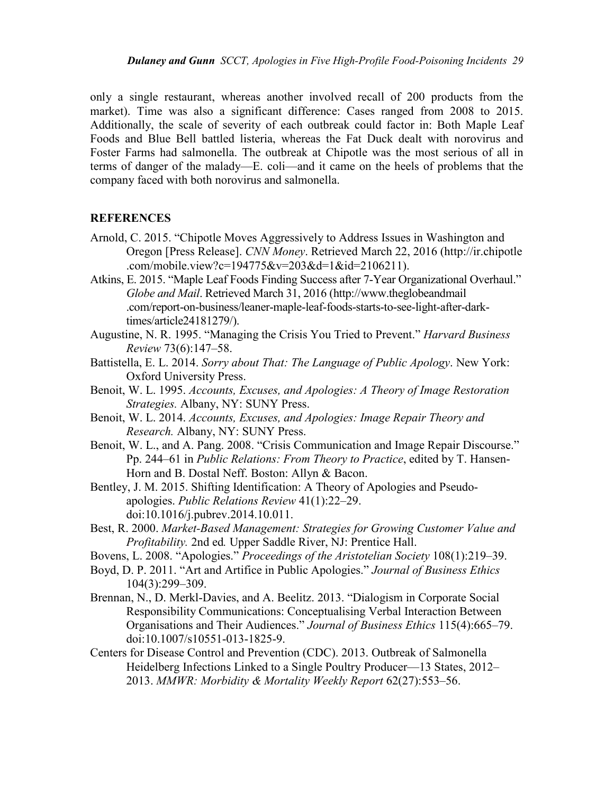only a single restaurant, whereas another involved recall of 200 products from the market). Time was also a significant difference: Cases ranged from 2008 to 2015. Additionally, the scale of severity of each outbreak could factor in: Both Maple Leaf Foods and Blue Bell battled listeria, whereas the Fat Duck dealt with norovirus and Foster Farms had salmonella. The outbreak at Chipotle was the most serious of all in terms of danger of the malady—E. coli—and it came on the heels of problems that the company faced with both norovirus and salmonella.

# **REFERENCES**

- Arnold, C. 2015. "Chipotle Moves Aggressively to Address Issues in Washington and Oregon [Press Release]. *CNN Money*. Retrieved March 22, 2016 (http://ir.chipotle .com/mobile.view?c=194775&v=203&d=1&id=2106211).
- Atkins, E. 2015. "Maple Leaf Foods Finding Success after 7-Year Organizational Overhaul." *Globe and Mail*. Retrieved March 31, 2016 (http://www.theglobeandmail .com/report-on-business/leaner-maple-leaf-foods-starts-to-see-light-after-darktimes/article24181279/).
- Augustine, N. R. 1995. "Managing the Crisis You Tried to Prevent." *Harvard Business Review* 73(6):147–58.
- Battistella, E. L. 2014. *Sorry about That: The Language of Public Apology*. New York: Oxford University Press.
- Benoit, W. L. 1995. *Accounts, Excuses, and Apologies: A Theory of Image Restoration Strategies.* Albany, NY: SUNY Press.
- Benoit, W. L. 2014. *Accounts, Excuses, and Apologies: Image Repair Theory and Research.* Albany, NY: SUNY Press.
- Benoit, W. L., and A. Pang. 2008. "Crisis Communication and Image Repair Discourse." Pp. 244–61 in *Public Relations: From Theory to Practice*, edited by T. Hansen-Horn and B. Dostal Neff. Boston: Allyn & Bacon.
- Bentley, J. M. 2015. Shifting Identification: A Theory of Apologies and Pseudoapologies. *Public Relations Review* 41(1):22–29. doi:10.1016/j.pubrev.2014.10.011.
- Best, R. 2000. *Market-Based Management: Strategies for Growing Customer Value and Profitability.* 2nd ed*.* Upper Saddle River, NJ: Prentice Hall.
- Bovens, L. 2008. "Apologies." *Proceedings of the Aristotelian Society* 108(1):219–39.
- Boyd, D. P. 2011. "Art and Artifice in Public Apologies." *Journal of Business Ethics* 104(3):299–309.
- Brennan, N., D. Merkl-Davies, and A. Beelitz. 2013. "Dialogism in Corporate Social Responsibility Communications: Conceptualising Verbal Interaction Between Organisations and Their Audiences." *Journal of Business Ethics* 115(4):665–79. doi:10.1007/s10551-013-1825-9.
- Centers for Disease Control and Prevention (CDC). 2013. Outbreak of Salmonella Heidelberg Infections Linked to a Single Poultry Producer—13 States, 2012– 2013. *MMWR: Morbidity & Mortality Weekly Report* 62(27):553–56.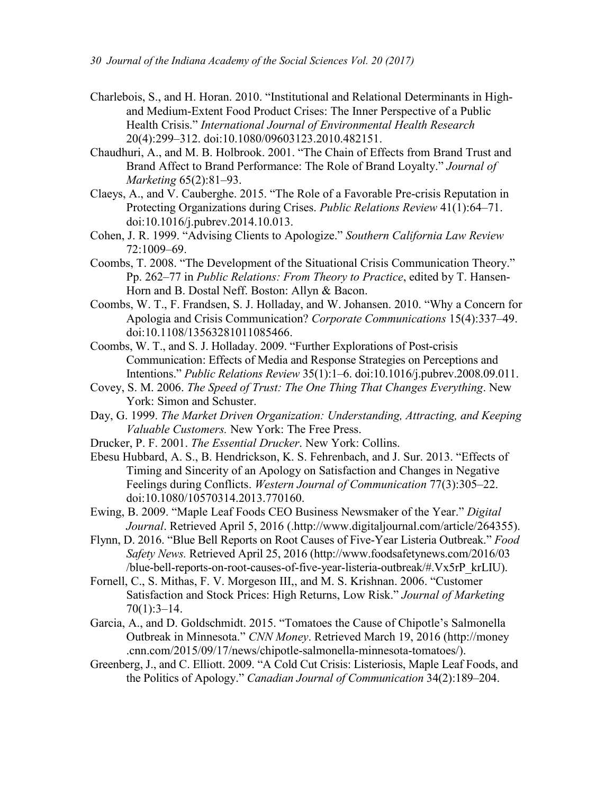- Charlebois, S., and H. Horan. 2010. "Institutional and Relational Determinants in Highand Medium-Extent Food Product Crises: The Inner Perspective of a Public Health Crisis." *International Journal of Environmental Health Research* 20(4):299–312. doi:10.1080/09603123.2010.482151.
- Chaudhuri, A., and M. B. Holbrook. 2001. "The Chain of Effects from Brand Trust and Brand Affect to Brand Performance: The Role of Brand Loyalty." *Journal of Marketing* 65(2):81–93.
- Claeys, A., and V. Cauberghe. 2015. "The Role of a Favorable Pre-crisis Reputation in Protecting Organizations during Crises. *Public Relations Review* 41(1):64–71. doi:10.1016/j.pubrev.2014.10.013.
- Cohen, J. R. 1999. "Advising Clients to Apologize." *Southern California Law Review*  72:1009–69.
- Coombs, T. 2008. "The Development of the Situational Crisis Communication Theory." Pp. 262–77 in *Public Relations: From Theory to Practice*, edited by T. Hansen-Horn and B. Dostal Neff. Boston: Allyn & Bacon.
- Coombs, W. T., F. Frandsen, S. J. Holladay, and W. Johansen. 2010. "Why a Concern for Apologia and Crisis Communication? *Corporate Communications* 15(4):337–49. doi:10.1108/13563281011085466.
- Coombs, W. T., and S. J. Holladay. 2009. "Further Explorations of Post-crisis Communication: Effects of Media and Response Strategies on Perceptions and Intentions." *Public Relations Review* 35(1):1–6. doi:10.1016/j.pubrev.2008.09.011.
- Covey, S. M. 2006. *The Speed of Trust: The One Thing That Changes Everything*. New York: Simon and Schuster.
- Day, G. 1999. *The Market Driven Organization: Understanding, Attracting, and Keeping Valuable Customers.* New York: The Free Press.
- Drucker, P. F. 2001. *The Essential Drucker*. New York: Collins.
- Ebesu Hubbard, A. S., B. Hendrickson, K. S. Fehrenbach, and J. Sur. 2013. "Effects of Timing and Sincerity of an Apology on Satisfaction and Changes in Negative Feelings during Conflicts. *Western Journal of Communication* 77(3):305–22. doi:10.1080/10570314.2013.770160.
- Ewing, B. 2009. "Maple Leaf Foods CEO Business Newsmaker of the Year." *Digital Journal*. Retrieved April 5, 2016 (.http://www.digitaljournal.com/article/264355).
- Flynn, D. 2016. "Blue Bell Reports on Root Causes of Five-Year Listeria Outbreak." *Food Safety News.* Retrieved April 25, 2016 (http://www.foodsafetynews.com/2016/03 /blue-bell-reports-on-root-causes-of-five-year-listeria-outbreak/#.Vx5rP\_krLIU).
- Fornell, C., S. Mithas, F. V. Morgeson III,, and M. S. Krishnan. 2006. "Customer Satisfaction and Stock Prices: High Returns, Low Risk." *Journal of Marketing*  70(1):3–14.
- Garcia, A., and D. Goldschmidt. 2015. "Tomatoes the Cause of Chipotle's Salmonella Outbreak in Minnesota." *CNN Money*. Retrieved March 19, 2016 (http://money .cnn.com/2015/09/17/news/chipotle-salmonella-minnesota-tomatoes/).
- Greenberg, J., and C. Elliott. 2009. "A Cold Cut Crisis: Listeriosis, Maple Leaf Foods, and the Politics of Apology." *Canadian Journal of Communication* 34(2):189–204.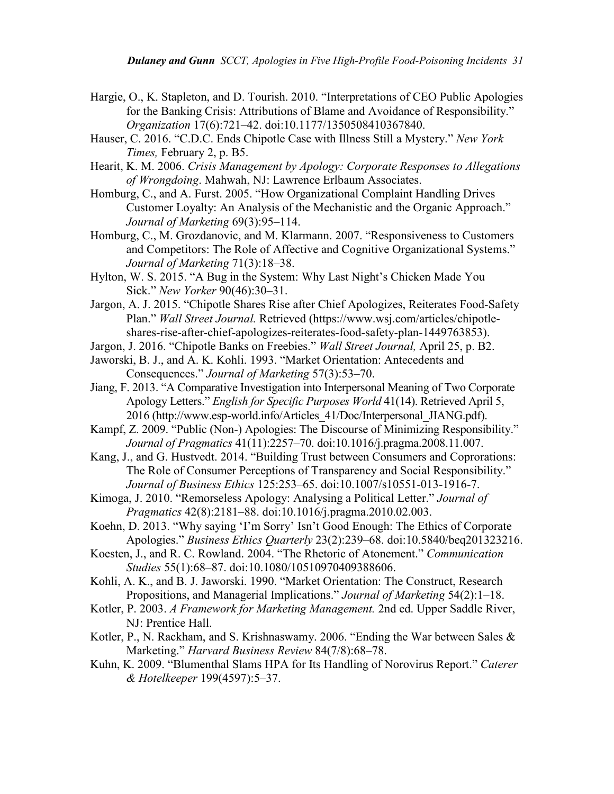- Hargie, O., K. Stapleton, and D. Tourish. 2010. "Interpretations of CEO Public Apologies for the Banking Crisis: Attributions of Blame and Avoidance of Responsibility." *Organization* 17(6):721–42. doi:10.1177/1350508410367840.
- Hauser, C. 2016. "C.D.C. Ends Chipotle Case with Illness Still a Mystery." *New York Times,* February 2, p. B5.

Hearit, K. M. 2006. *Crisis Management by Apology: Corporate Responses to Allegations of Wrongdoing*. Mahwah, NJ: Lawrence Erlbaum Associates.

- Homburg, C., and A. Furst. 2005. "How Organizational Complaint Handling Drives Customer Loyalty: An Analysis of the Mechanistic and the Organic Approach." *Journal of Marketing* 69(3):95–114.
- Homburg, C., M. Grozdanovic, and M. Klarmann. 2007. "Responsiveness to Customers and Competitors: The Role of Affective and Cognitive Organizational Systems." *Journal of Marketing* 71(3):18–38.
- Hylton, W. S. 2015. "A Bug in the System: Why Last Night's Chicken Made You Sick." *New Yorker* 90(46):30–31.
- Jargon, A. J. 2015. "Chipotle Shares Rise after Chief Apologizes, Reiterates Food-Safety Plan." *Wall Street Journal.* Retrieved (https://www.wsj.com/articles/chipotleshares-rise-after-chief-apologizes-reiterates-food-safety-plan-1449763853).
- Jargon, J. 2016. "Chipotle Banks on Freebies." *Wall Street Journal,* April 25, p. B2.
- Jaworski, B. J., and A. K. Kohli. 1993. "Market Orientation: Antecedents and Consequences." *Journal of Marketing* 57(3):53–70.
- Jiang, F. 2013. "A Comparative Investigation into Interpersonal Meaning of Two Corporate Apology Letters." *English for Specific Purposes World* 41(14). Retrieved April 5, 2016 (http://www.esp-world.info/Articles\_41/Doc/Interpersonal\_JIANG.pdf).
- Kampf, Z. 2009. "Public (Non-) Apologies: The Discourse of Minimizing Responsibility." *Journal of Pragmatics* 41(11):2257–70. doi:10.1016/j.pragma.2008.11.007.
- Kang, J., and G. Hustvedt. 2014. "Building Trust between Consumers and Coprorations: The Role of Consumer Perceptions of Transparency and Social Responsibility." *Journal of Business Ethics* 125:253–65. doi:10.1007/s10551-013-1916-7.
- Kimoga, J. 2010. "Remorseless Apology: Analysing a Political Letter." *Journal of Pragmatics* 42(8):2181–88. doi:10.1016/j.pragma.2010.02.003.
- Koehn, D. 2013. "Why saying 'I'm Sorry' Isn't Good Enough: The Ethics of Corporate Apologies." *Business Ethics Quarterly* 23(2):239–68. doi:10.5840/beq201323216.
- Koesten, J., and R. C. Rowland. 2004. "The Rhetoric of Atonement." *Communication Studies* 55(1):68–87. doi:10.1080/10510970409388606.

Kohli, A. K., and B. J. Jaworski. 1990. "Market Orientation: The Construct, Research Propositions, and Managerial Implications." *Journal of Marketing* 54(2):1–18.

- Kotler, P. 2003. *A Framework for Marketing Management.* 2nd ed. Upper Saddle River, NJ: Prentice Hall.
- Kotler, P., N. Rackham, and S. Krishnaswamy. 2006. "Ending the War between Sales  $\&$ Marketing." *Harvard Business Review* 84(7/8):68–78.
- Kuhn, K. 2009. "Blumenthal Slams HPA for Its Handling of Norovirus Report." *Caterer & Hotelkeeper* 199(4597):5–37.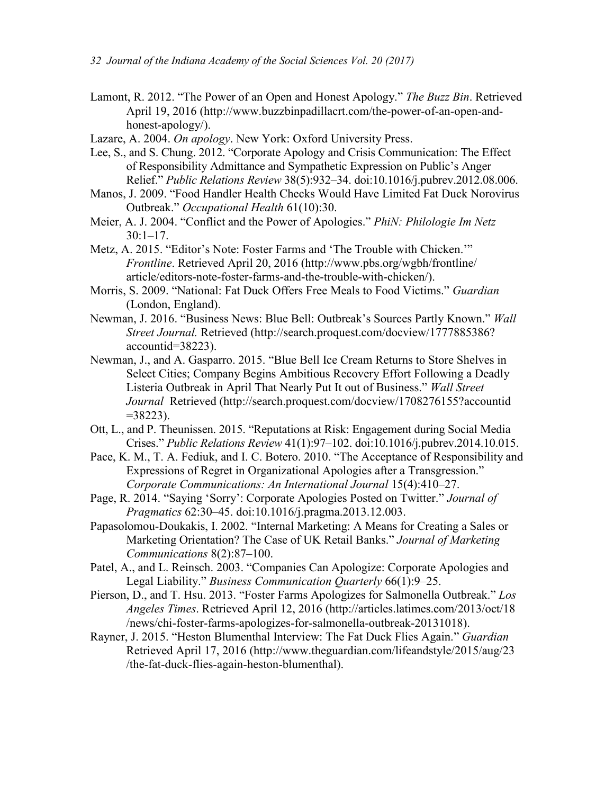- Lamont, R. 2012. "The Power of an Open and Honest Apology." *The Buzz Bin*. Retrieved April 19, 2016 (http://www.buzzbinpadillacrt.com/the-power-of-an-open-andhonest-apology/).
- Lazare, A. 2004. *On apology*. New York: Oxford University Press.
- Lee, S., and S. Chung. 2012. "Corporate Apology and Crisis Communication: The Effect of Responsibility Admittance and Sympathetic Expression on Public's Anger Relief." *Public Relations Review* 38(5):932–34. doi:10.1016/j.pubrev.2012.08.006.
- Manos, J. 2009. "Food Handler Health Checks Would Have Limited Fat Duck Norovirus Outbreak." *Occupational Health* 61(10):30.
- Meier, A. J. 2004. "Conflict and the Power of Apologies." *PhiN: Philologie Im Netz* 30:1–17.
- Metz, A. 2015. "Editor's Note: Foster Farms and 'The Trouble with Chicken.'" *Frontline*. Retrieved April 20, 2016 (http://www.pbs.org/wgbh/frontline/ article/editors-note-foster-farms-and-the-trouble-with-chicken/).
- Morris, S. 2009. "National: Fat Duck Offers Free Meals to Food Victims." *Guardian* (London, England).
- Newman, J. 2016. "Business News: Blue Bell: Outbreak's Sources Partly Known." *Wall Street Journal.* Retrieved (http://search.proquest.com/docview/1777885386? accountid=38223).
- Newman, J., and A. Gasparro. 2015. "Blue Bell Ice Cream Returns to Store Shelves in Select Cities; Company Begins Ambitious Recovery Effort Following a Deadly Listeria Outbreak in April That Nearly Put It out of Business." *Wall Street Journal* Retrieved (http://search.proquest.com/docview/1708276155?accountid  $=38223$ ).
- Ott, L., and P. Theunissen. 2015. "Reputations at Risk: Engagement during Social Media Crises." *Public Relations Review* 41(1):97–102. doi:10.1016/j.pubrev.2014.10.015.
- Pace, K. M., T. A. Fediuk, and I. C. Botero. 2010. "The Acceptance of Responsibility and Expressions of Regret in Organizational Apologies after a Transgression." *Corporate Communications: An International Journal* 15(4):410–27.
- Page, R. 2014. "Saying 'Sorry': Corporate Apologies Posted on Twitter." *Journal of Pragmatics* 62:30–45. doi:10.1016/j.pragma.2013.12.003.
- Papasolomou-Doukakis, I. 2002. "Internal Marketing: A Means for Creating a Sales or Marketing Orientation? The Case of UK Retail Banks." *Journal of Marketing Communications* 8(2):87–100.
- Patel, A., and L. Reinsch. 2003. "Companies Can Apologize: Corporate Apologies and Legal Liability." *Business Communication Quarterly* 66(1):9–25.
- Pierson, D., and T. Hsu. 2013. "Foster Farms Apologizes for Salmonella Outbreak." *Los Angeles Times*. Retrieved April 12, 2016 (http://articles.latimes.com/2013/oct/18 /news/chi-foster-farms-apologizes-for-salmonella-outbreak-20131018).
- Rayner, J. 2015. "Heston Blumenthal Interview: The Fat Duck Flies Again." *Guardian* Retrieved April 17, 2016 (http://www.theguardian.com/lifeandstyle/2015/aug/23 /the-fat-duck-flies-again-heston-blumenthal).